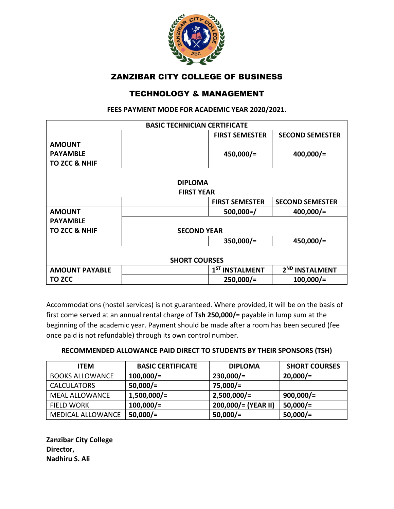

## ZANZIBAR CITY COLLEGE OF BUSINESS

## TECHNOLOGY & MANAGEMENT

**FEES PAYMENT MODE FOR ACADEMIC YEAR 2020/2021.**

|                          | <b>BASIC TECHNICIAN CERTIFICATE</b> |                            |  |  |
|--------------------------|-------------------------------------|----------------------------|--|--|
|                          | <b>FIRST SEMESTER</b>               | <b>SECOND SEMESTER</b>     |  |  |
| <b>AMOUNT</b>            |                                     |                            |  |  |
| <b>PAYAMBLE</b>          | $450,000/$ =                        | $400,000/$ =               |  |  |
| <b>TO ZCC &amp; NHIF</b> |                                     |                            |  |  |
|                          |                                     |                            |  |  |
| <b>DIPLOMA</b>           |                                     |                            |  |  |
| <b>FIRST YEAR</b>        |                                     |                            |  |  |
|                          | <b>FIRST SEMESTER</b>               | <b>SECOND SEMESTER</b>     |  |  |
| <b>AMOUNT</b>            | $500,000 = /$                       | $400,000/$ =               |  |  |
| <b>PAYAMBLE</b>          |                                     |                            |  |  |
| <b>TO ZCC &amp; NHIF</b> | <b>SECOND YEAR</b>                  |                            |  |  |
|                          | $350,000/$ =                        | $450,000/$ =               |  |  |
|                          |                                     |                            |  |  |
| <b>SHORT COURSES</b>     |                                     |                            |  |  |
| <b>AMOUNT PAYABLE</b>    | 1 <sup>ST</sup> INSTALMENT          | 2 <sup>ND</sup> INSTALMENT |  |  |
| <b>TO ZCC</b>            | $250,000/=$                         | $100,000/$ =               |  |  |

Accommodations (hostel services) is not guaranteed. Where provided, it will be on the basis of first come served at an annual rental charge of **Tsh 250,000/=** payable in lump sum at the beginning of the academic year. Payment should be made after a room has been secured (fee once paid is not refundable) through its own control number.

#### **RECOMMENDED ALLOWANCE PAID DIRECT TO STUDENTS BY THEIR SPONSORS (TSH)**

| <b>ITEM</b>              | <b>BASIC CERTIFICATE</b> | <b>DIPLOMA</b>      | <b>SHORT COURSES</b> |
|--------------------------|--------------------------|---------------------|----------------------|
| <b>BOOKS ALLOWANCE</b>   | $100,000/$ =             | $230,000/$ =        | $20,000/$ =          |
| <b>CALCULATORS</b>       | $50,000/$ =              | $75,000/=$          |                      |
| <b>MEAL ALLOWANCE</b>    | $1,500,000/=$            | $2,500,000/=$       | $900,000/$ =         |
| <b>FIELD WORK</b>        | $100,000/$ =             | 200,000/= (YEAR II) | $50,000/$ =          |
| <b>MEDICAL ALLOWANCE</b> | $50,000/$ =              | $50,000/$ =         | $50,000/$ =          |

**Zanzibar City College Director, Nadhiru S. Ali**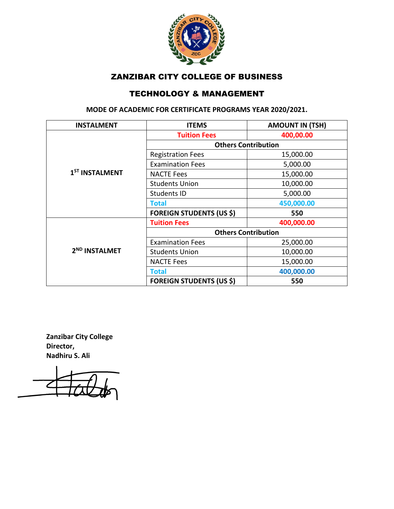

## ZANZIBAR CITY COLLEGE OF BUSINESS

## TECHNOLOGY & MANAGEMENT

**MODE OF ACADEMIC FOR CERTIFICATE PROGRAMS YEAR 2020/2021.**

| <b>INSTALMENT</b>          | <b>ITEMS</b>                    | <b>AMOUNT IN (TSH)</b> |
|----------------------------|---------------------------------|------------------------|
| 1 <sup>ST</sup> INSTALMENT | <b>Tuition Fees</b>             | 400,00.00              |
|                            | <b>Others Contribution</b>      |                        |
|                            | <b>Registration Fees</b>        | 15,000.00              |
|                            | <b>Examination Fees</b>         | 5,000.00               |
|                            | <b>NACTE Fees</b>               | 15,000.00              |
|                            | <b>Students Union</b>           | 10,000.00              |
|                            | <b>Students ID</b>              | 5,000.00               |
|                            | <b>Total</b>                    | 450,000.00             |
|                            | <b>FOREIGN STUDENTS (US \$)</b> | 550                    |
| 2 <sup>ND</sup> INSTALMET  | <b>Tuition Fees</b>             | 400,000.00             |
|                            | <b>Others Contribution</b>      |                        |
|                            | <b>Examination Fees</b>         | 25,000.00              |
|                            | <b>Students Union</b>           | 10,000.00              |
|                            | <b>NACTE Fees</b>               | 15,000.00              |
|                            | <b>Total</b>                    | 400,000.00             |
|                            | <b>FOREIGN STUDENTS (US \$)</b> | 550                    |

**Zanzibar City College Director, Nadhiru S. Ali**